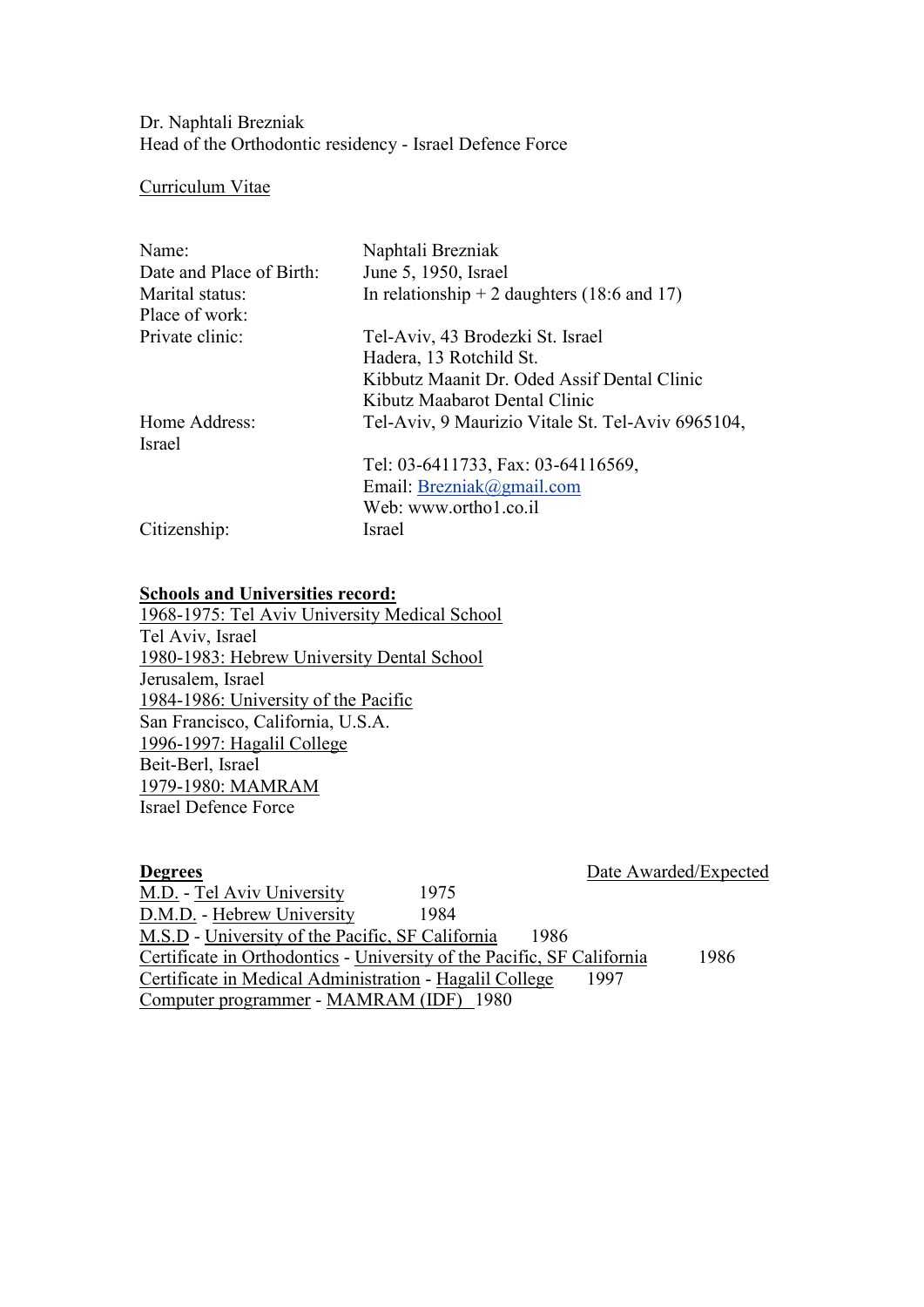Dr. Naphtali Brezniak Head of the Orthodontic residency - Israel Defence Force

## Curriculum Vitae

| Name:                    | Naphtali Brezniak                                 |
|--------------------------|---------------------------------------------------|
| Date and Place of Birth: | June 5, 1950, Israel                              |
| Marital status:          | In relationship $+ 2$ daughters (18:6 and 17)     |
| Place of work:           |                                                   |
| Private clinic:          | Tel-Aviv, 43 Brodezki St. Israel                  |
|                          | Hadera, 13 Rotchild St.                           |
|                          | Kibbutz Maanit Dr. Oded Assif Dental Clinic       |
|                          | Kibutz Maabarot Dental Clinic                     |
| Home Address:            | Tel-Aviv, 9 Maurizio Vitale St. Tel-Aviv 6965104, |
| <b>Israel</b>            |                                                   |
|                          | Tel: 03-6411733, Fax: 03-64116569,                |
|                          | Email: $Brezniak@gmail.com$                       |
|                          | Web: www.ortho1.co.il                             |
| Citizenship:             | Israel                                            |

## **Schools and Universities record:**

1968-1975: Tel Aviv University Medical School Tel Aviv, Israel 1980-1983: Hebrew University Dental School Jerusalem, Israel 1984-1986: University of the Pacific San Francisco, California, U.S.A. 1996-1997: Hagalil College Beit-Berl, Israel 1979-1980: MAMRAM Israel Defence Force

| <b>Degrees</b>                                                         | Date Awarded/Expected |
|------------------------------------------------------------------------|-----------------------|
| M.D. - Tel Aviv University<br>1975                                     |                       |
| D.M.D. - Hebrew University<br>1984                                     |                       |
| M.S.D - University of the Pacific, SF California                       | 1986                  |
| Certificate in Orthodontics - University of the Pacific, SF California | 1986                  |
| Certificate in Medical Administration - Hagalil College                | 1997                  |
| Computer programmer - MAMRAM (IDF) 1980                                |                       |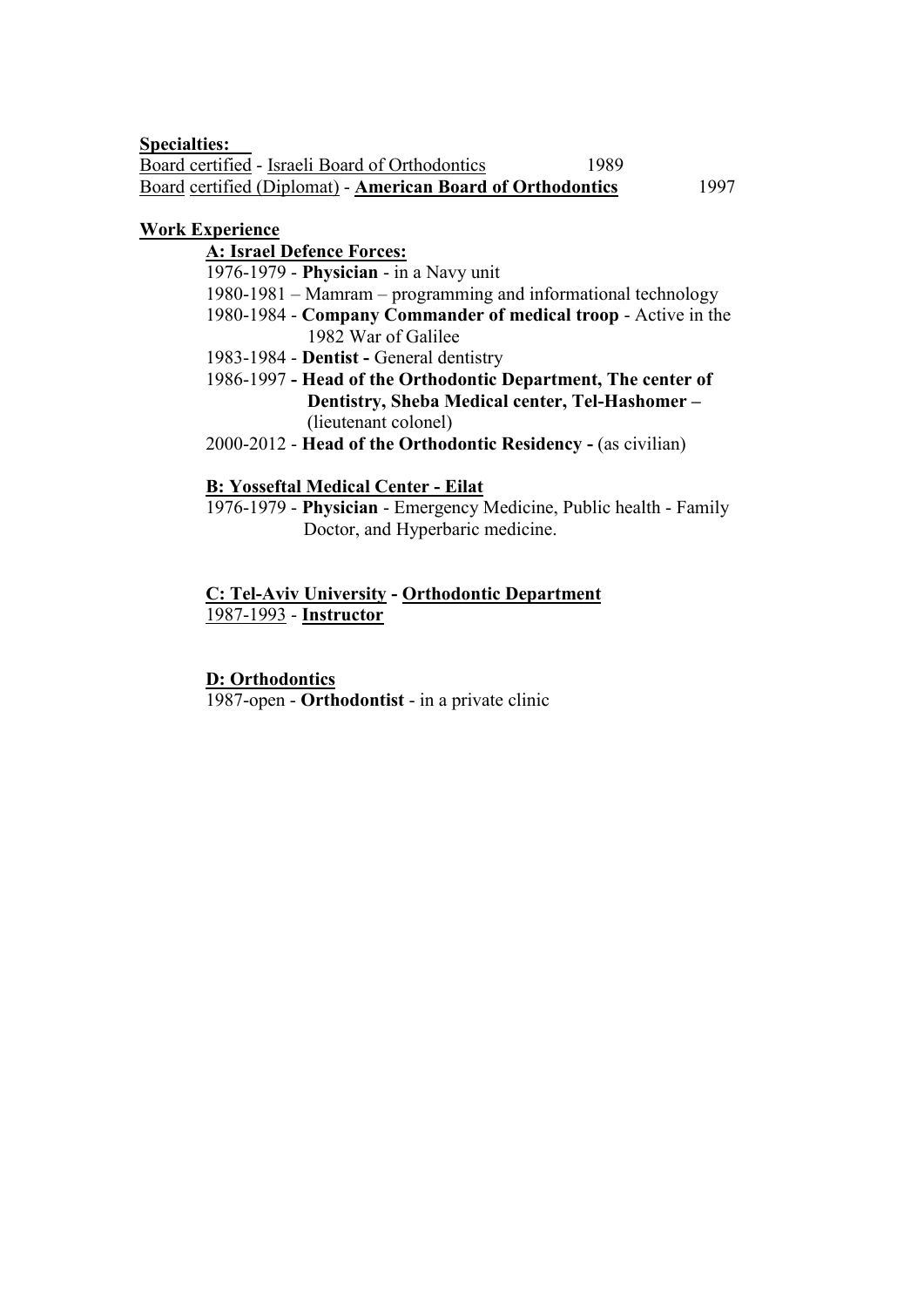**Specialties:** Board certified - Israeli Board of Orthodontics 1989 Board certified (Diplomat) - **American Board of Orthodontics** 1997

## **Work Experience**

**A: Israel Defence Forces:**

1976-1979 - **Physician** - in a Navy unit

- 1980-1981 Mamram programming and informational technology
- 1980-1984 **Company Commander of medical troop** Active in the 1982 War of Galilee
- 1983-1984 **Dentist -** General dentistry
- 1986-1997 **- Head of the Orthodontic Department, The center of Dentistry, Sheba Medical center, Tel-Hashomer –** (lieutenant colonel)
- 2000-2012 **Head of the Orthodontic Residency -** (as civilian)

## **B: Yosseftal Medical Center - Eilat**

1976-1979 - **Physician** - Emergency Medicine, Public health - Family Doctor, and Hyperbaric medicine.

## **C: Tel-Aviv University - Orthodontic Department** 1987-1993 - **Instructor**

## **D: Orthodontics**

1987-open - **Orthodontist** - in a private clinic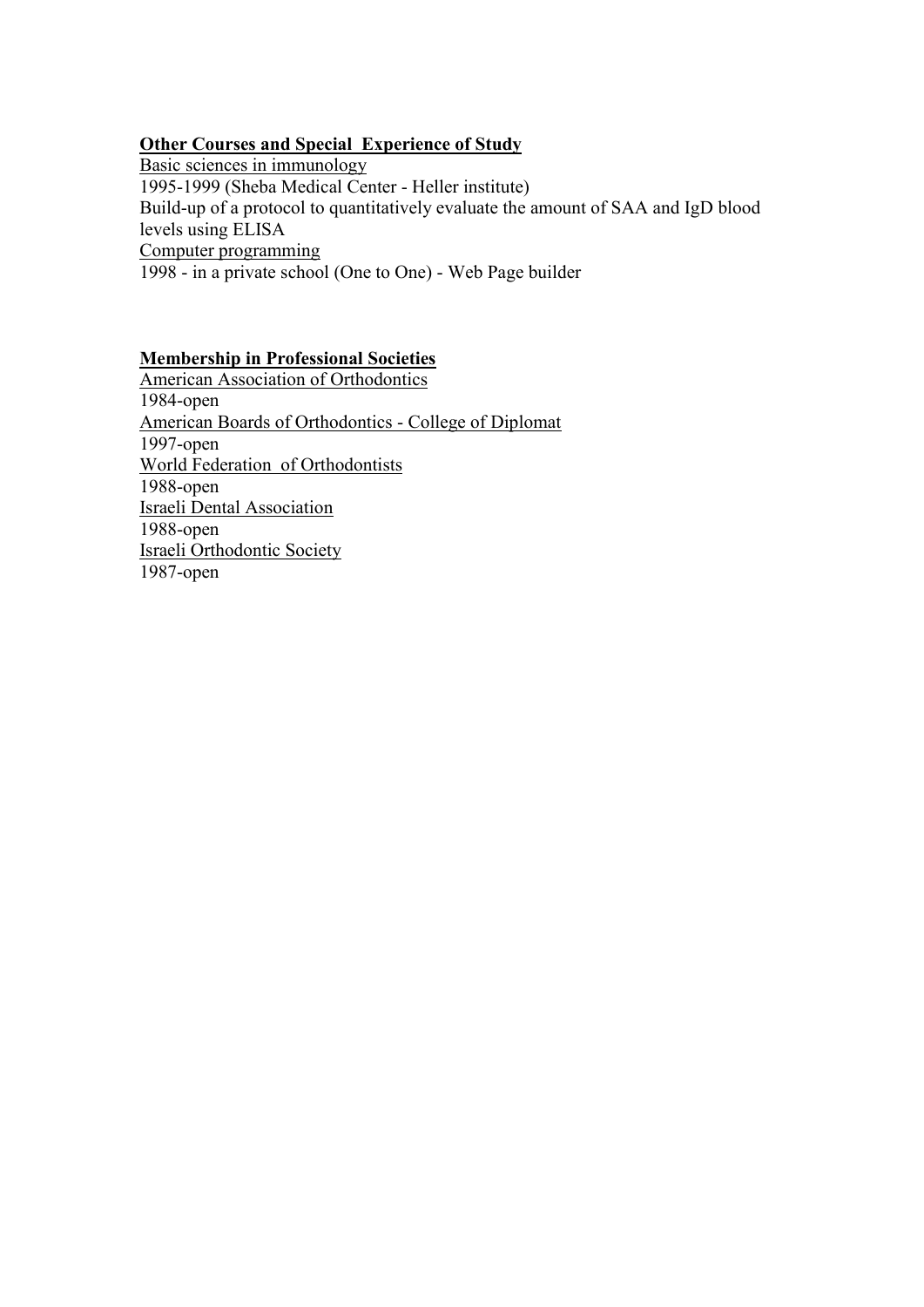## **Other Courses and Special Experience of Study**

Basic sciences in immunology 1995-1999 (Sheba Medical Center - Heller institute) Build-up of a protocol to quantitatively evaluate the amount of SAA and IgD blood levels using ELISA Computer programming 1998 - in a private school (One to One) - Web Page builder

# **Membership in Professional Societies**

American Association of Orthodontics 1984-open American Boards of Orthodontics - College of Diplomat 1997-open World Federation of Orthodontists 1988-open Israeli Dental Association 1988-open Israeli Orthodontic Society 1987-open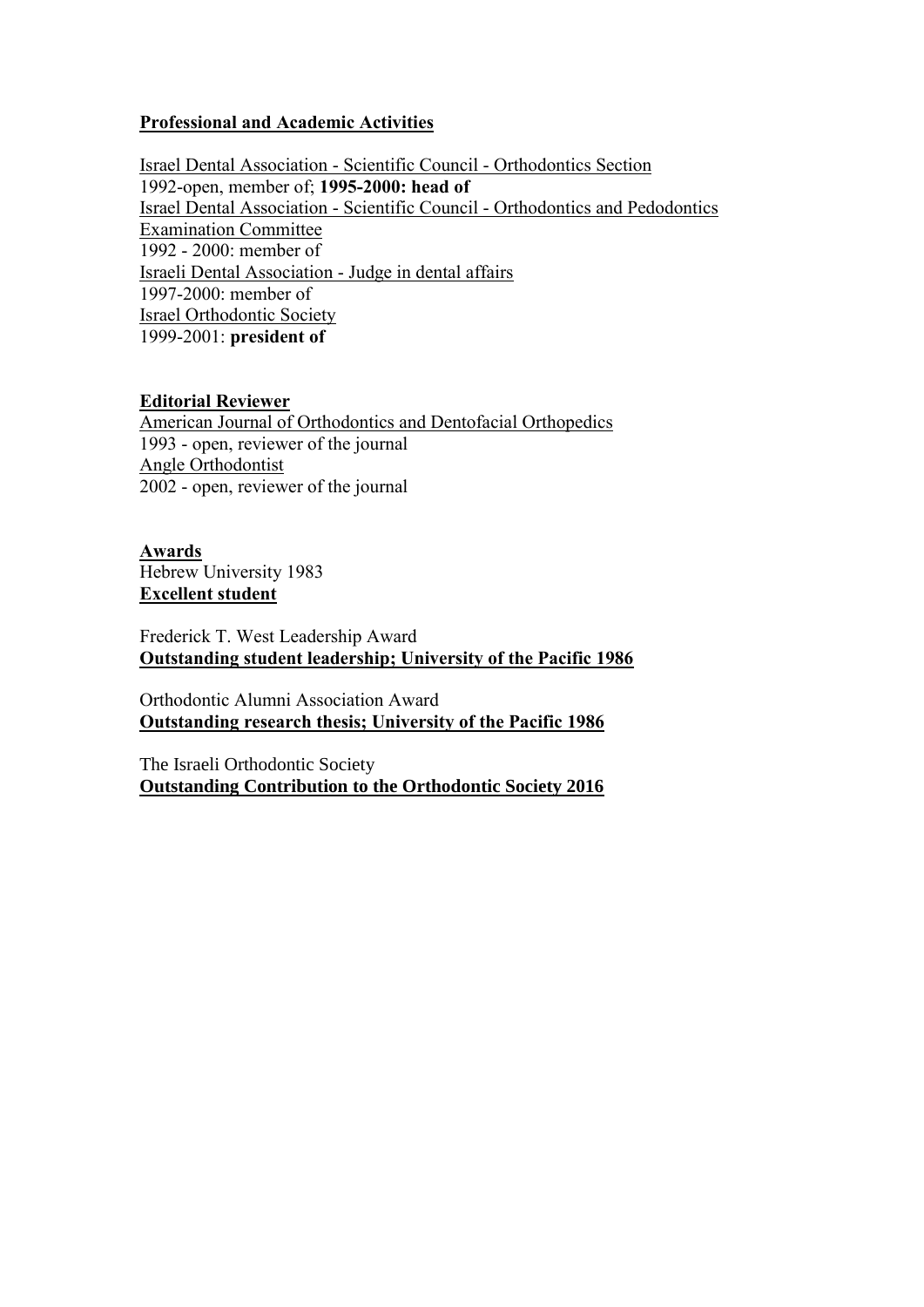## **Professional and Academic Activities**

Israel Dental Association - Scientific Council - Orthodontics Section 1992-open, member of; **1995-2000: head of** Israel Dental Association - Scientific Council - Orthodontics and Pedodontics Examination Committee 1992 - 2000: member of Israeli Dental Association - Judge in dental affairs 1997-2000: member of Israel Orthodontic Society 1999-2001: **president of**

## **Editorial Reviewer**

American Journal of Orthodontics and Dentofacial Orthopedics 1993 - open, reviewer of the journal Angle Orthodontist 2002 - open, reviewer of the journal

**Awards** Hebrew University 1983 **Excellent student**

Frederick T. West Leadership Award **Outstanding student leadership; University of the Pacific 1986**

Orthodontic Alumni Association Award **Outstanding research thesis; University of the Pacific 1986**

The Israeli Orthodontic Society **Outstanding Contribution to the Orthodontic Society 2016**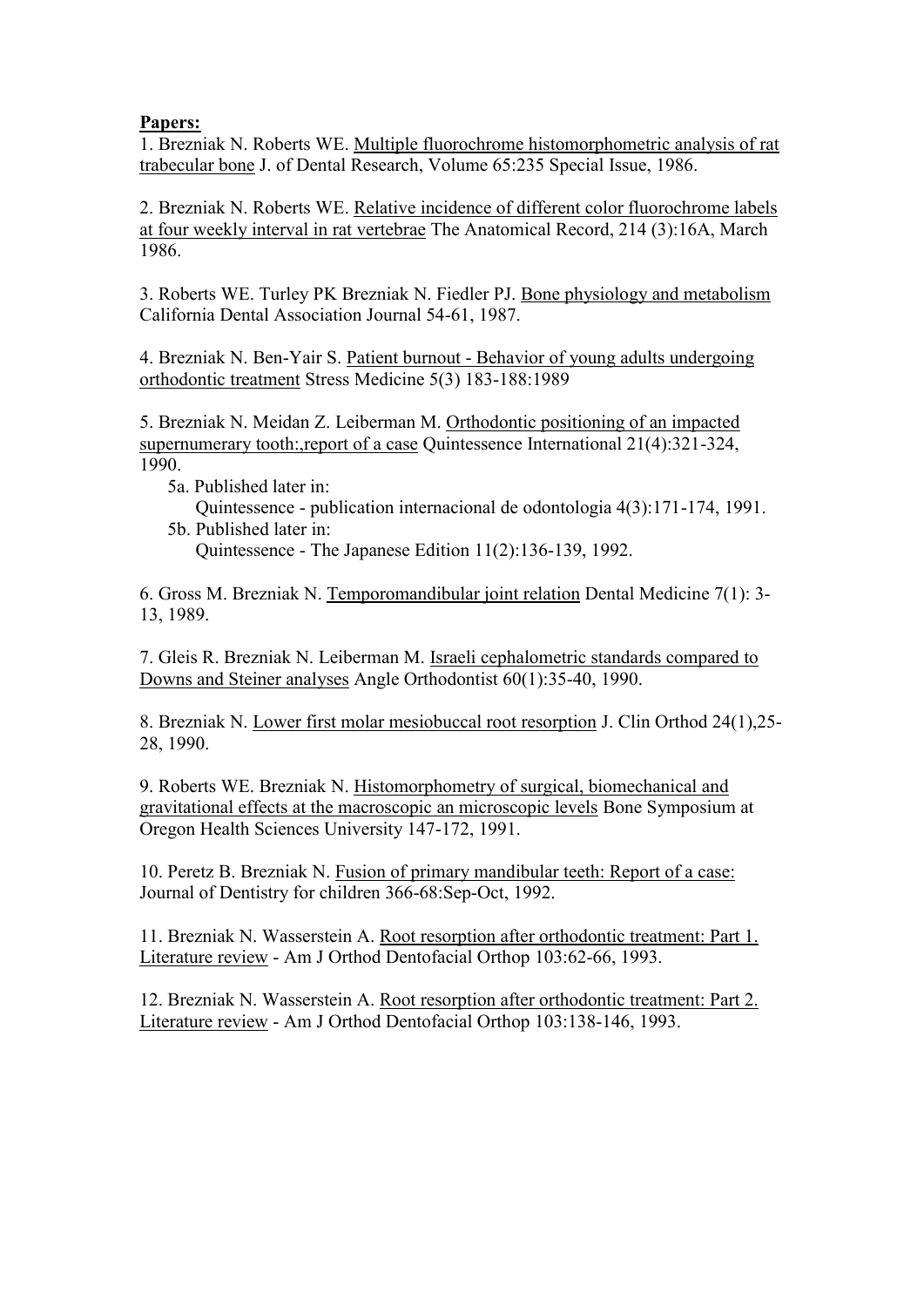# **Papers:**

1. Brezniak N. Roberts WE. Multiple fluorochrome histomorphometric analysis of rat trabecular bone J. of Dental Research, Volume 65:235 Special Issue, 1986.

2. Brezniak N. Roberts WE. Relative incidence of different color fluorochrome labels at four weekly interval in rat vertebrae The Anatomical Record, 214 (3):16A, March 1986.

3. Roberts WE. Turley PK Brezniak N. Fiedler PJ. Bone physiology and metabolism California Dental Association Journal 54-61, 1987.

4. Brezniak N. Ben-Yair S. Patient burnout - Behavior of young adults undergoing orthodontic treatment Stress Medicine 5(3) 183-188:1989

5. Brezniak N. Meidan Z. Leiberman M. Orthodontic positioning of an impacted supernumerary tooth:,report of a case Quintessence International 21(4):321-324, 1990.

 5a. Published later in: Quintessence - publication internacional de odontologia 4(3):171-174, 1991. 5b. Published later in:

Quintessence - The Japanese Edition 11(2):136-139, 1992.

6. Gross M. Brezniak N. Temporomandibular joint relation Dental Medicine 7(1): 3- 13, 1989.

7. Gleis R. Brezniak N. Leiberman M. Israeli cephalometric standards compared to Downs and Steiner analyses Angle Orthodontist 60(1):35-40, 1990.

8. Brezniak N. Lower first molar mesiobuccal root resorption J. Clin Orthod 24(1),25- 28, 1990.

9. Roberts WE. Brezniak N. Histomorphometry of surgical, biomechanical and gravitational effects at the macroscopic an microscopic levels Bone Symposium at Oregon Health Sciences University 147-172, 1991.

10. Peretz B. Brezniak N. Fusion of primary mandibular teeth: Report of a case: Journal of Dentistry for children 366-68:Sep-Oct, 1992.

11. Brezniak N. Wasserstein A. Root resorption after orthodontic treatment: Part 1. Literature review - Am J Orthod Dentofacial Orthop 103:62-66, 1993.

12. Brezniak N. Wasserstein A. Root resorption after orthodontic treatment: Part 2. Literature review - Am J Orthod Dentofacial Orthop 103:138-146, 1993.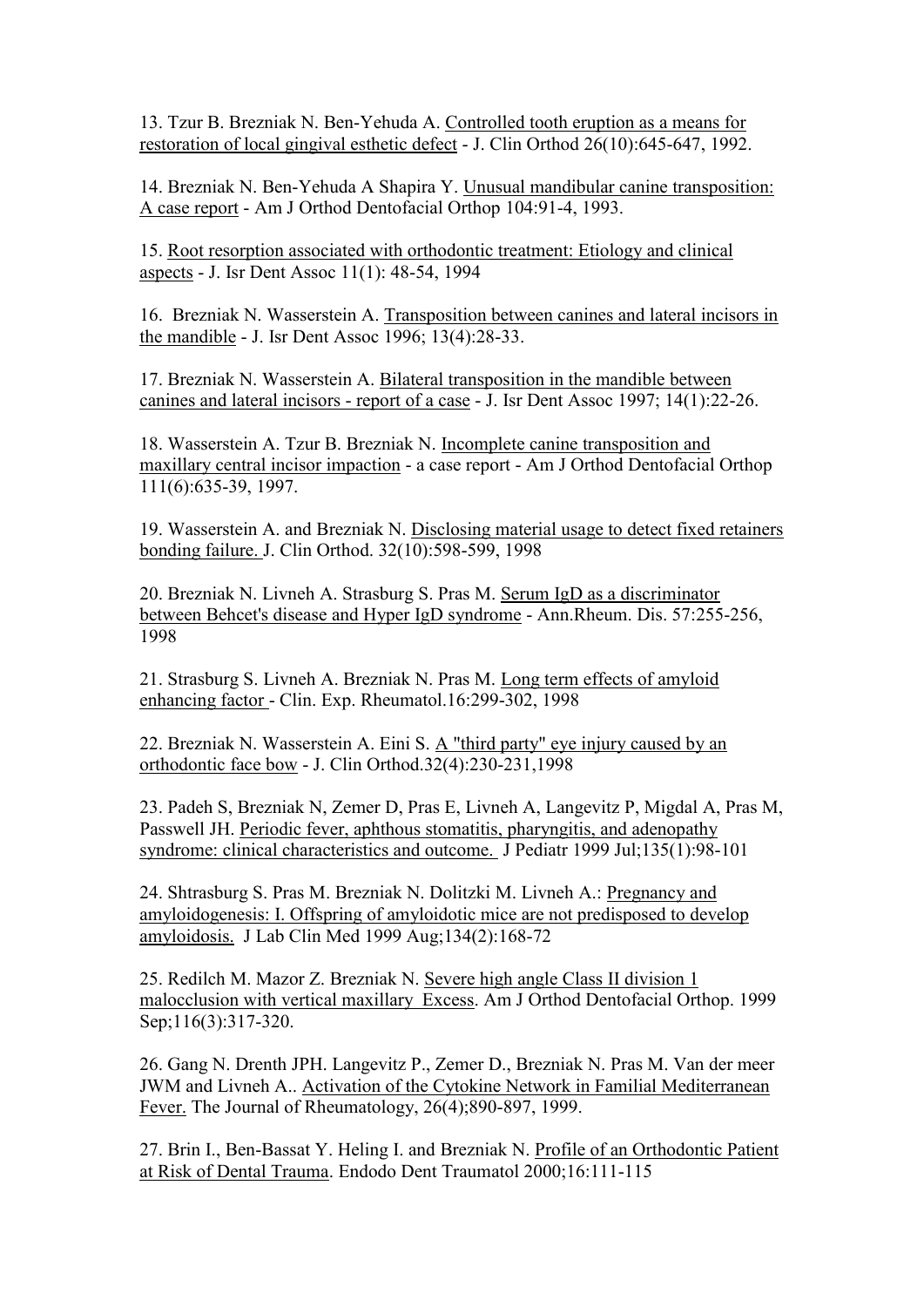13. Tzur B. Brezniak N. Ben-Yehuda A. Controlled tooth eruption as a means for restoration of local gingival esthetic defect - J. Clin Orthod 26(10):645-647, 1992.

14. Brezniak N. Ben-Yehuda A Shapira Y. Unusual mandibular canine transposition: A case report - Am J Orthod Dentofacial Orthop 104:91-4, 1993.

15. Root resorption associated with orthodontic treatment: Etiology and clinical aspects - J. Isr Dent Assoc 11(1): 48-54, 1994

16. Brezniak N. Wasserstein A. Transposition between canines and lateral incisors in the mandible - J. Isr Dent Assoc 1996; 13(4):28-33.

17. Brezniak N. Wasserstein A. Bilateral transposition in the mandible between canines and lateral incisors - report of a case - J. Isr Dent Assoc 1997; 14(1):22-26.

18. Wasserstein A. Tzur B. Brezniak N. Incomplete canine transposition and maxillary central incisor impaction - a case report - Am J Orthod Dentofacial Orthop 111(6):635-39, 1997.

19. Wasserstein A. and Brezniak N. Disclosing material usage to detect fixed retainers bonding failure. J. Clin Orthod. 32(10):598-599, 1998

20. Brezniak N. Livneh A. Strasburg S. Pras M. Serum IgD as a discriminator between Behcet's disease and Hyper IgD syndrome - Ann.Rheum. Dis. 57:255-256, 1998

21. Strasburg S. Livneh A. Brezniak N. Pras M. Long term effects of amyloid enhancing factor - Clin. Exp. Rheumatol.16:299-302, 1998

22. Brezniak N. Wasserstein A. Eini S. A "third party" eye injury caused by an orthodontic face bow - J. Clin Orthod.32(4):230-231,1998

23. Padeh S, Brezniak N, Zemer D, Pras E, Livneh A, Langevitz P, Migdal A, Pras M, Passwell JH. Periodic fever, aphthous stomatitis, pharyngitis, and adenopathy syndrome: clinical characteristics and outcome. J Pediatr 1999 Jul;135(1):98-101

24. Shtrasburg S. Pras M. Brezniak N. Dolitzki M. Livneh A.: Pregnancy and amyloidogenesis: I. Offspring of amyloidotic mice are not predisposed to develop amyloidosis. J Lab Clin Med 1999 Aug;134(2):168-72

25. Redilch M. Mazor Z. Brezniak N. Severe high angle Class II division 1 malocclusion with vertical maxillary Excess. Am J Orthod Dentofacial Orthop. 1999 Sep;116(3):317-320.

26. Gang N. Drenth JPH. Langevitz P., Zemer D., Brezniak N. Pras M. Van der meer JWM and Livneh A.. Activation of the Cytokine Network in Familial Mediterranean Fever. The Journal of Rheumatology, 26(4);890-897, 1999.

27. Brin I., Ben-Bassat Y. Heling I. and Brezniak N. Profile of an Orthodontic Patient at Risk of Dental Trauma. Endodo Dent Traumatol 2000;16:111-115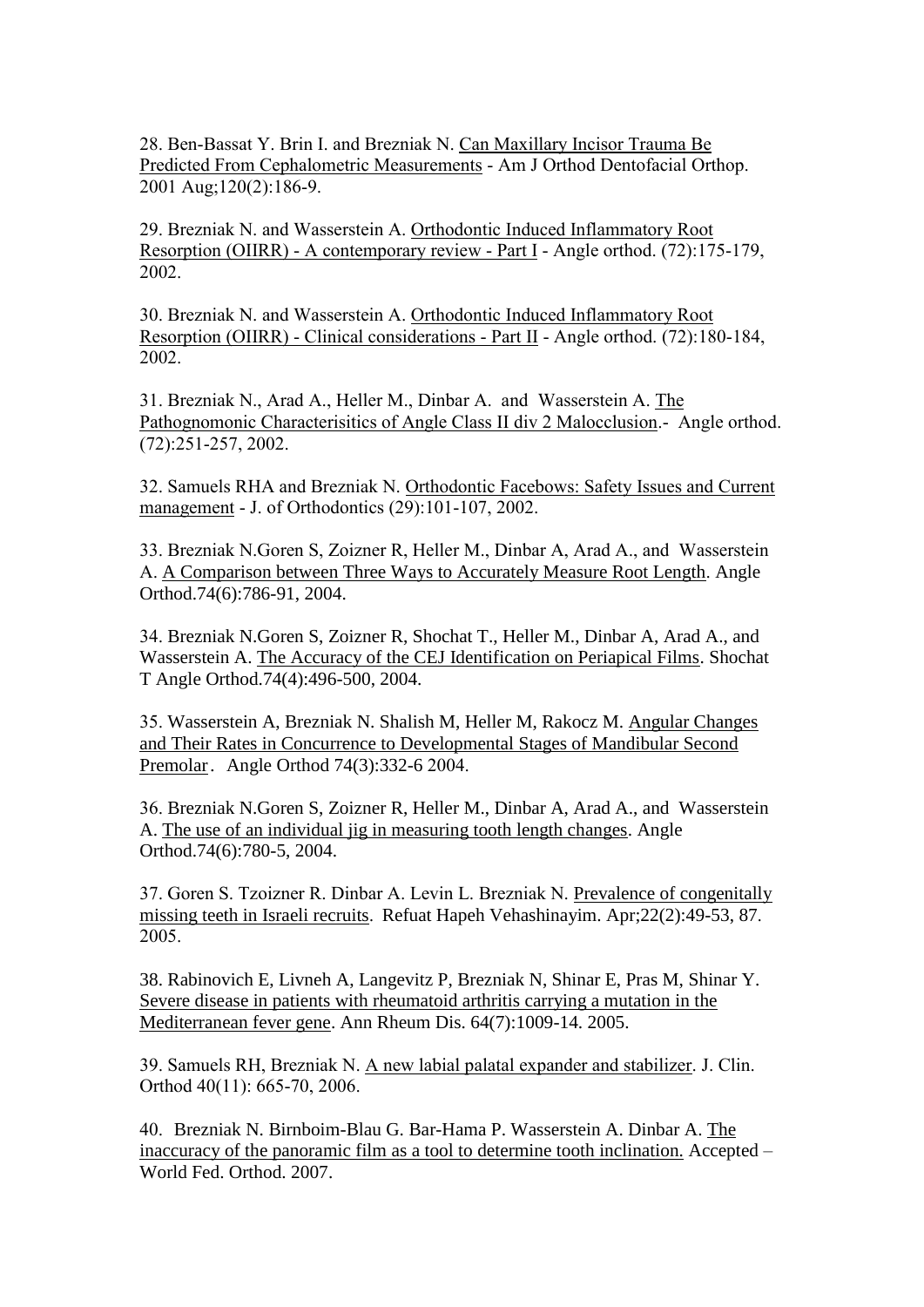28. Ben-Bassat Y. Brin I. and Brezniak N. Can Maxillary Incisor Trauma Be Predicted From Cephalometric Measurements - Am J Orthod Dentofacial Orthop. 2001 Aug;120(2):186-9.

29. Brezniak N. and Wasserstein A. Orthodontic Induced Inflammatory Root Resorption (OIIRR) - A contemporary review - Part I - Angle orthod. (72):175-179, 2002.

30. Brezniak N. and Wasserstein A. Orthodontic Induced Inflammatory Root Resorption (OIIRR) - Clinical considerations - Part II - Angle orthod. (72):180-184, 2002.

31. Brezniak N., Arad A., Heller M., Dinbar A. and Wasserstein A. The Pathognomonic Characterisitics of Angle Class II div 2 Malocclusion.- Angle orthod. (72):251-257, 2002.

32. Samuels RHA and Brezniak N. Orthodontic Facebows: Safety Issues and Current management - J. of Orthodontics (29):101-107, 2002.

33. Brezniak N.Goren S, Zoizner R, Heller M., Dinbar A, Arad A., and Wasserstein A. A Comparison between Three Ways to Accurately Measure Root Length. Angle Orthod.74(6):786-91, 2004.

34. Brezniak N.Goren S, Zoizner R, Shochat T., Heller M., Dinbar A, Arad A., and Wasserstein A. The Accuracy of the CEJ Identification on Periapical Films. Shochat T Angle Orthod.74(4):496-500, 2004.

35. Wasserstein A, Brezniak N. Shalish M, Heller M, Rakocz M. Angular Changes and Their Rates in Concurrence to Developmental Stages of Mandibular Second Premolar. Angle Orthod 74(3):332-6 2004.

36. Brezniak N.Goren S, Zoizner R, Heller M., Dinbar A, Arad A., and Wasserstein A. The use of an individual jig in measuring tooth length changes. Angle Orthod.74(6):780-5, 2004.

37. Goren S. Tzoizner R. Dinbar A. Levin L. Brezniak N. Prevalence of congenitally missing teeth in Israeli recruits. Refuat Hapeh Vehashinayim. Apr;22(2):49-53, 87. 2005.

38. [Rabinovich E, Livneh A, Langevitz P, Brezniak N, Shinar E, Pras M, Shinar Y.](http://www.ncbi.nlm.nih.gov/entrez/query.fcgi?db=pubmed&cmd=Retrieve&dopt=AbstractPlus&list_uids=15958759&query_hl=1&itool=pubmed_docsum) Severe disease in patients with rheumatoid arthritis carrying a mutation in the Mediterranean fever gene. Ann Rheum Dis. 64(7):1009-14. 2005.

39. Samuels RH, Brezniak N. A new labial palatal expander and stabilizer. J. Clin. Orthod 40(11): 665-70, 2006.

40. Brezniak N. Birnboim-Blau G. Bar-Hama P. Wasserstein A. Dinbar A. The inaccuracy of the panoramic film as a tool to determine tooth inclination. Accepted – World Fed. Orthod. 2007.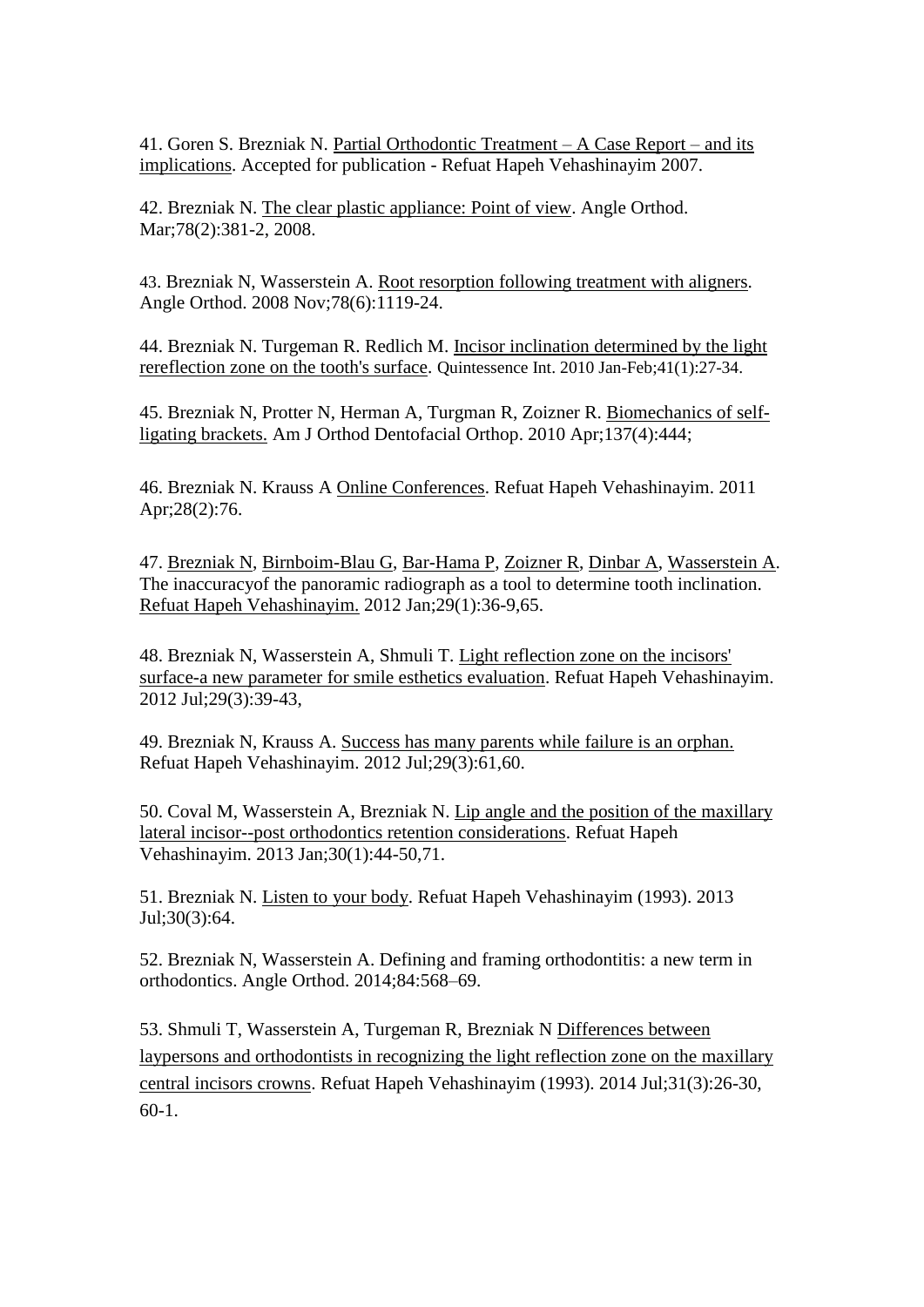41. Goren S. Brezniak N. Partial Orthodontic Treatment – A Case Report – and its implications. Accepted for publication - Refuat Hapeh Vehashinayim 2007.

42. Brezniak N. The clear plastic appliance: Point of view. Angle Orthod. Mar;78(2):381-2, 2008.

43. Brezniak N, Wasserstein A. Root resorption following treatment with aligners. Angle Orthod. 2008 Nov;78(6):1119-24.

44. Brezniak N. Turgeman R. Redlich M. Incisor inclination determined by the light rereflection zone on the tooth's surface. Quintessence Int. 2010 Jan-Feb;41(1):27-34.

45. Brezniak N, Protter N, Herman A, Turgman R, Zoizner R. [Biomechanics of self](http://www.ncbi.nlm.nih.gov/pubmed/20362889)[ligating brackets.](http://www.ncbi.nlm.nih.gov/pubmed/20362889) Am J Orthod Dentofacial Orthop. 2010 Apr;137(4):444;

46. Brezniak N. Krauss A Online Conferences. Refuat Hapeh Vehashinayim. 2011 Apr;28(2):76.

47. [Brezniak N,](http://www.ncbi.nlm.nih.gov/pubmed?term=Brezniak%20N%5BAuthor%5D&cauthor=true&cauthor_uid=22991875) [Birnboim-Blau G,](http://www.ncbi.nlm.nih.gov/pubmed?term=Birnboim-Blau%20G%5BAuthor%5D&cauthor=true&cauthor_uid=22991875) [Bar-Hama P,](http://www.ncbi.nlm.nih.gov/pubmed?term=Bar-Hama%20P%5BAuthor%5D&cauthor=true&cauthor_uid=22991875) [Zoizner R,](http://www.ncbi.nlm.nih.gov/pubmed?term=Zoizner%20R%5BAuthor%5D&cauthor=true&cauthor_uid=22991875) [Dinbar A,](http://www.ncbi.nlm.nih.gov/pubmed?term=Dinbar%20A%5BAuthor%5D&cauthor=true&cauthor_uid=22991875) [Wasserstein A.](http://www.ncbi.nlm.nih.gov/pubmed?term=Wasserstein%20A%5BAuthor%5D&cauthor=true&cauthor_uid=22991875) The inaccuracyof the panoramic radiograph as a tool to determine tooth inclination. [Refuat Hapeh Vehashinayim.](http://www.ncbi.nlm.nih.gov/pubmed/22991875) 2012 Jan;29(1):36-9,65.

48. [Brezniak N,](http://www.ncbi.nlm.nih.gov/pubmed?term=Brezniak%20N%5BAuthor%5D&cauthor=true&cauthor_uid=23256396) [Wasserstein A,](http://www.ncbi.nlm.nih.gov/pubmed?term=Wasserstein%20A%5BAuthor%5D&cauthor=true&cauthor_uid=23256396) [Shmuli T.](http://www.ncbi.nlm.nih.gov/pubmed?term=Shmuli%20T%5BAuthor%5D&cauthor=true&cauthor_uid=23256396) Light reflection zone on the incisors' surface-a new parameter for smile esthetics evaluation. [Refuat Hapeh Vehashinayim.](http://www.ncbi.nlm.nih.gov/pubmed/23256396) 2012 Jul;29(3):39-43,

49. Brezniak N, Krauss A. [Success has many parents while failure is an orphan.](http://www.ncbi.nlm.nih.gov/pubmed/23256398)  Refuat Hapeh Vehashinayim. 2012 Jul;29(3):61,60.

50. [Coval M,](http://www.ncbi.nlm.nih.gov/pubmed?term=Coval%20M%5BAuthor%5D&cauthor=true&cauthor_uid=23697299) [Wasserstein A,](http://www.ncbi.nlm.nih.gov/pubmed?term=Wasserstein%20A%5BAuthor%5D&cauthor=true&cauthor_uid=23697299) [Brezniak N.](http://www.ncbi.nlm.nih.gov/pubmed?term=Brezniak%20N%5BAuthor%5D&cauthor=true&cauthor_uid=23697299) Lip angle and the position of the maxillary lateral incisor--post orthodontics retention considerations. [Refuat Hapeh](http://www.ncbi.nlm.nih.gov/pubmed/23697299)  [Vehashinayim.](http://www.ncbi.nlm.nih.gov/pubmed/23697299) 2013 Jan;30(1):44-50,71.

51. Brezniak N. Listen to your body. Refuat Hapeh Vehashinayim (1993). 2013 Jul;30(3):64.

52. Brezniak N, Wasserstein A. Defining and framing orthodontitis: a new term in orthodontics. Angle Orthod. 2014;84:568–69.

53. [Shmuli T,](https://www.ncbi.nlm.nih.gov/pubmed/?term=Shmuli%20T%5BAuthor%5D&cauthor=true&cauthor_uid=25219098) [Wasserstein A,](https://www.ncbi.nlm.nih.gov/pubmed/?term=Wasserstein%20A%5BAuthor%5D&cauthor=true&cauthor_uid=25219098) [Turgeman R,](https://www.ncbi.nlm.nih.gov/pubmed/?term=Turgeman%20R%5BAuthor%5D&cauthor=true&cauthor_uid=25219098) [Brezniak N](https://www.ncbi.nlm.nih.gov/pubmed/?term=Brezniak%20N%5BAuthor%5D&cauthor=true&cauthor_uid=25219098) Differences between laypersons and orthodontists in recognizing the light reflection zone on the maxillary central incisors crowns. [Refuat Hapeh Vehashinayim \(1993\).](https://www.ncbi.nlm.nih.gov/pubmed/25219098) 2014 Jul;31(3):26-30, 60-1.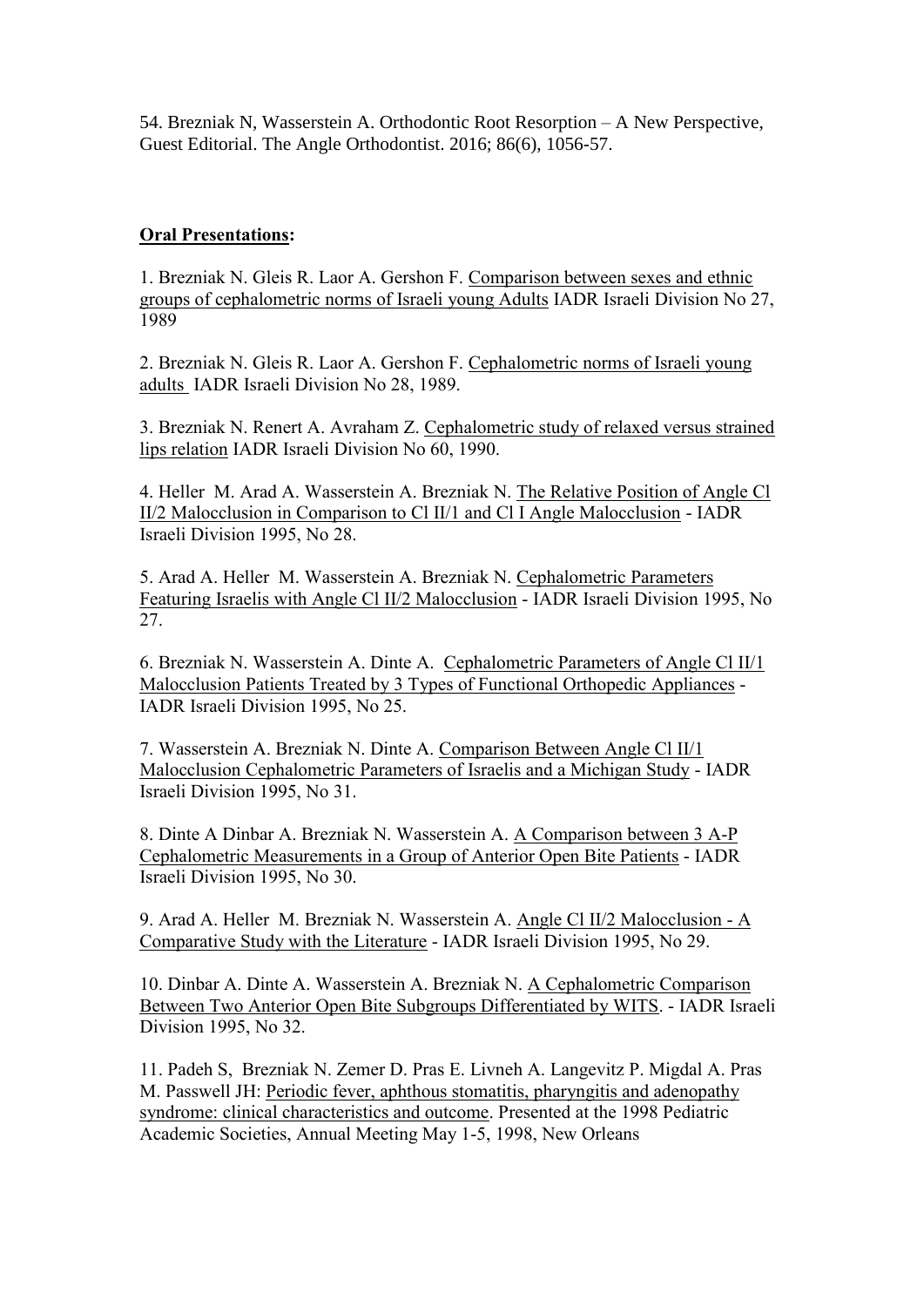54. [Brezniak N,](http://www.ncbi.nlm.nih.gov/pubmed?term=Brezniak%20N%5BAuthor%5D&cauthor=true&cauthor_uid=23256396) [Wasserstein A.](http://www.ncbi.nlm.nih.gov/pubmed?term=Wasserstein%20A%5BAuthor%5D&cauthor=true&cauthor_uid=23256396) Orthodontic Root Resorption – A New Perspective, Guest Editorial. The Angle Orthodontist. 2016; 86(6), 1056-57.

# **Oral Presentations:**

1. Brezniak N. Gleis R. Laor A. Gershon F. Comparison between sexes and ethnic groups of cephalometric norms of Israeli young Adults IADR Israeli Division No 27, 1989

2. Brezniak N. Gleis R. Laor A. Gershon F. Cephalometric norms of Israeli young adults IADR Israeli Division No 28, 1989.

3. Brezniak N. Renert A. Avraham Z. Cephalometric study of relaxed versus strained lips relation IADR Israeli Division No 60, 1990.

4. Heller M. Arad A. Wasserstein A. Brezniak N. The Relative Position of Angle Cl II/2 Malocclusion in Comparison to Cl II/1 and Cl I Angle Malocclusion - IADR Israeli Division 1995, No 28.

5. Arad A. Heller M. Wasserstein A. Brezniak N. Cephalometric Parameters Featuring Israelis with Angle Cl II/2 Malocclusion - IADR Israeli Division 1995, No 27.

6. Brezniak N. Wasserstein A. Dinte A. Cephalometric Parameters of Angle Cl II/1 Malocclusion Patients Treated by 3 Types of Functional Orthopedic Appliances - IADR Israeli Division 1995, No 25.

7. Wasserstein A. Brezniak N. Dinte A. Comparison Between Angle Cl II/1 Malocclusion Cephalometric Parameters of Israelis and a Michigan Study - IADR Israeli Division 1995, No 31.

8. Dinte A Dinbar A. Brezniak N. Wasserstein A. A Comparison between 3 A-P Cephalometric Measurements in a Group of Anterior Open Bite Patients - IADR Israeli Division 1995, No 30.

9. Arad A. Heller M. Brezniak N. Wasserstein A. Angle Cl II/2 Malocclusion - A Comparative Study with the Literature - IADR Israeli Division 1995, No 29.

10. Dinbar A. Dinte A. Wasserstein A. Brezniak N. A Cephalometric Comparison Between Two Anterior Open Bite Subgroups Differentiated by WITS. - IADR Israeli Division 1995, No 32.

11. Padeh S, Brezniak N. Zemer D. Pras E. Livneh A. Langevitz P. Migdal A. Pras M. Passwell JH: Periodic fever, aphthous stomatitis, pharyngitis and adenopathy syndrome: clinical characteristics and outcome. Presented at the 1998 Pediatric Academic Societies, Annual Meeting May 1-5, 1998, New Orleans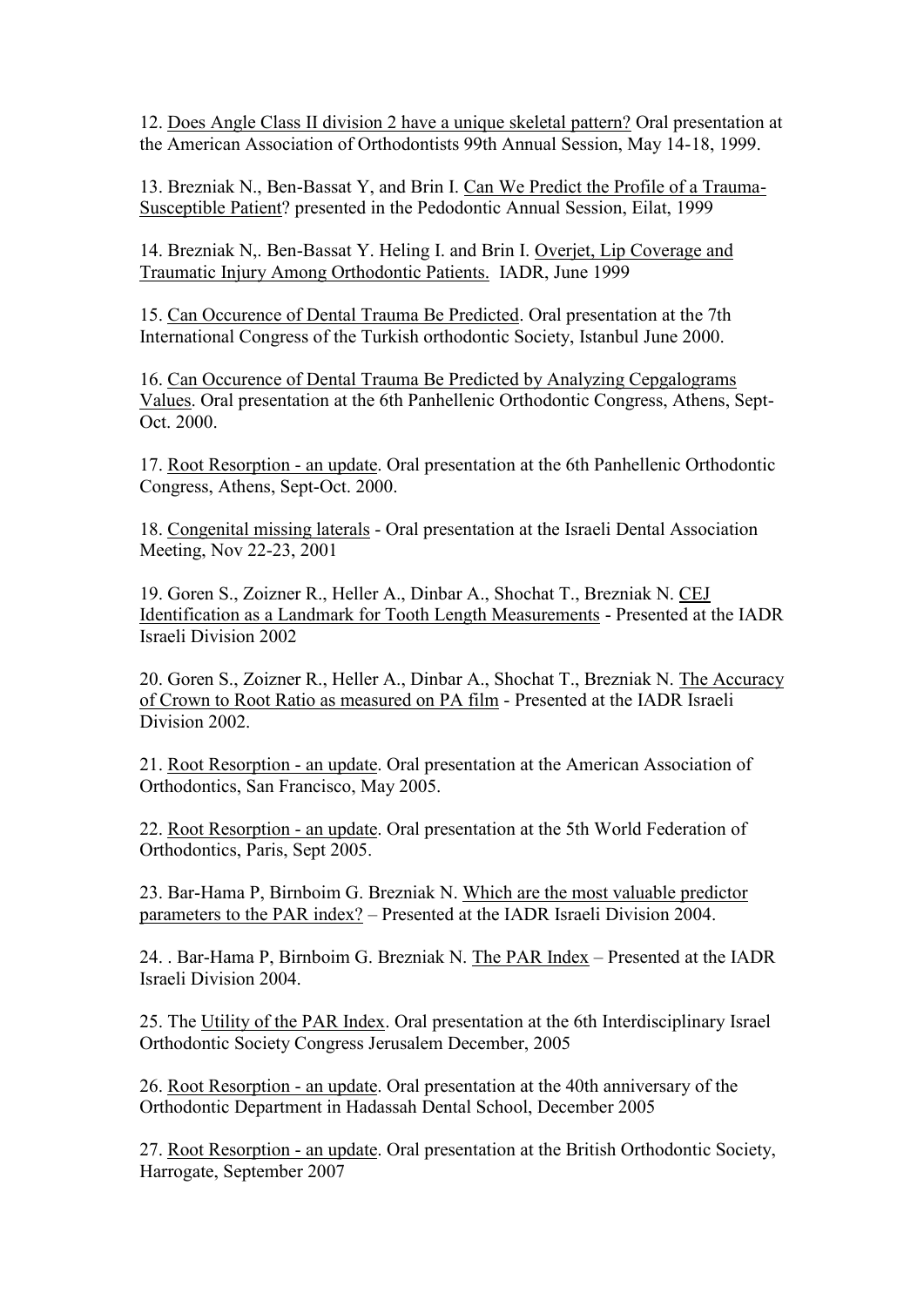12. Does Angle Class II division 2 have a unique skeletal pattern? Oral presentation at the American Association of Orthodontists 99th Annual Session, May 14-18, 1999.

13. Brezniak N., Ben-Bassat Y, and Brin I. Can We Predict the Profile of a Trauma-Susceptible Patient? presented in the Pedodontic Annual Session, Eilat, 1999

14. Brezniak N,. Ben-Bassat Y. Heling I. and Brin I. Overjet, Lip Coverage and Traumatic Injury Among Orthodontic Patients. IADR, June 1999

15. Can Occurence of Dental Trauma Be Predicted. Oral presentation at the 7th International Congress of the Turkish orthodontic Society, Istanbul June 2000.

16. Can Occurence of Dental Trauma Be Predicted by Analyzing Cepgalograms Values. Oral presentation at the 6th Panhellenic Orthodontic Congress, Athens, Sept-Oct. 2000.

17. Root Resorption - an update. Oral presentation at the 6th Panhellenic Orthodontic Congress, Athens, Sept-Oct. 2000.

18. Congenital missing laterals - Oral presentation at the Israeli Dental Association Meeting, Nov 22-23, 2001

19. Goren S., Zoizner R., Heller A., Dinbar A., Shochat T., Brezniak N. CEJ Identification as a Landmark for Tooth Length Measurements - Presented at the IADR Israeli Division 2002

20. Goren S., Zoizner R., Heller A., Dinbar A., Shochat T., Brezniak N. The Accuracy of Crown to Root Ratio as measured on PA film - Presented at the IADR Israeli Division 2002.

21. Root Resorption - an update. Oral presentation at the American Association of Orthodontics, San Francisco, May 2005.

22. Root Resorption - an update. Oral presentation at the 5th World Federation of Orthodontics, Paris, Sept 2005.

23. Bar-Hama P, Birnboim G. Brezniak N. Which are the most valuable predictor parameters to the PAR index? – Presented at the IADR Israeli Division 2004.

24. . Bar-Hama P, Birnboim G. Brezniak N. The PAR Index – Presented at the IADR Israeli Division 2004.

25. The Utility of the PAR Index. Oral presentation at the 6th Interdisciplinary Israel Orthodontic Society Congress Jerusalem December, 2005

26. Root Resorption - an update. Oral presentation at the 40th anniversary of the Orthodontic Department in Hadassah Dental School, December 2005

27. Root Resorption - an update. Oral presentation at the British Orthodontic Society, Harrogate, September 2007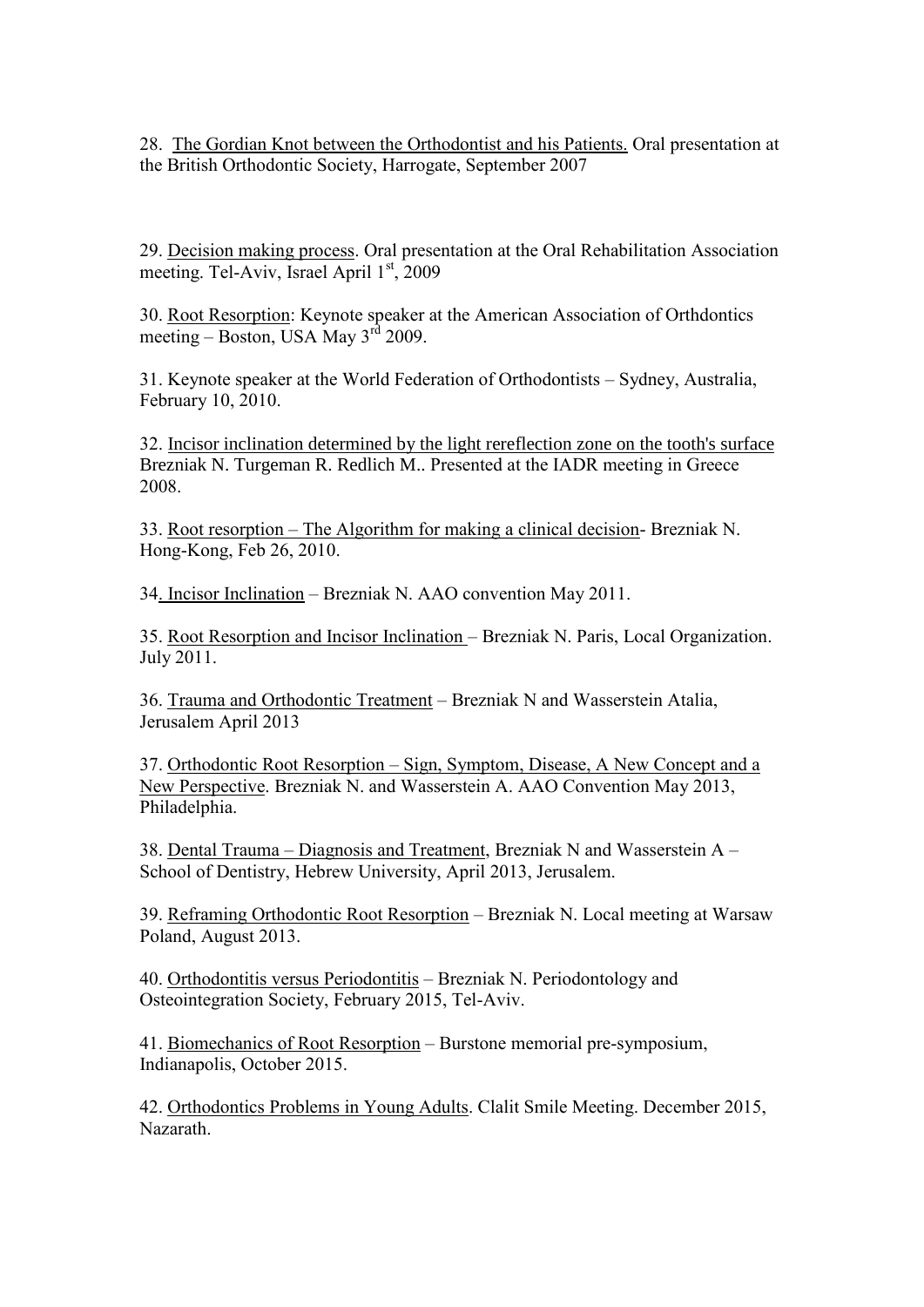28. The Gordian Knot between the Orthodontist and his Patients. Oral presentation at the British Orthodontic Society, Harrogate, September 2007

29. Decision making process. Oral presentation at the Oral Rehabilitation Association meeting. Tel-Aviv, Israel April  $1<sup>st</sup>$ , 2009

30. Root Resorption: Keynote speaker at the American Association of Orthdontics meeting – Boston, USA May  $3^{rd}$  2009.

31. Keynote speaker at the World Federation of Orthodontists – Sydney, Australia, February 10, 2010.

32. Incisor inclination determined by the light rereflection zone on the tooth's surface Brezniak N. Turgeman R. Redlich M.. Presented at the IADR meeting in Greece 2008.

33. Root resorption – The Algorithm for making a clinical decision- Brezniak N. Hong-Kong, Feb 26, 2010.

34. Incisor Inclination – Brezniak N. AAO convention May 2011.

35. Root Resorption and Incisor Inclination – Brezniak N. Paris, Local Organization. July 2011.

36. Trauma and Orthodontic Treatment – Brezniak N and Wasserstein Atalia, Jerusalem April 2013

37. Orthodontic Root Resorption – Sign, Symptom, Disease, A New Concept and a New Perspective. Brezniak N. and Wasserstein A. AAO Convention May 2013, Philadelphia.

38. Dental Trauma – Diagnosis and Treatment, Brezniak N and Wasserstein A – School of Dentistry, Hebrew University, April 2013, Jerusalem.

39. Reframing Orthodontic Root Resorption – Brezniak N. Local meeting at Warsaw Poland, August 2013.

40. Orthodontitis versus Periodontitis – Brezniak N. Periodontology and Osteointegration Society, February 2015, Tel-Aviv.

41. Biomechanics of Root Resorption – Burstone memorial pre-symposium, Indianapolis, October 2015.

42. Orthodontics Problems in Young Adults. Clalit Smile Meeting. December 2015, Nazarath.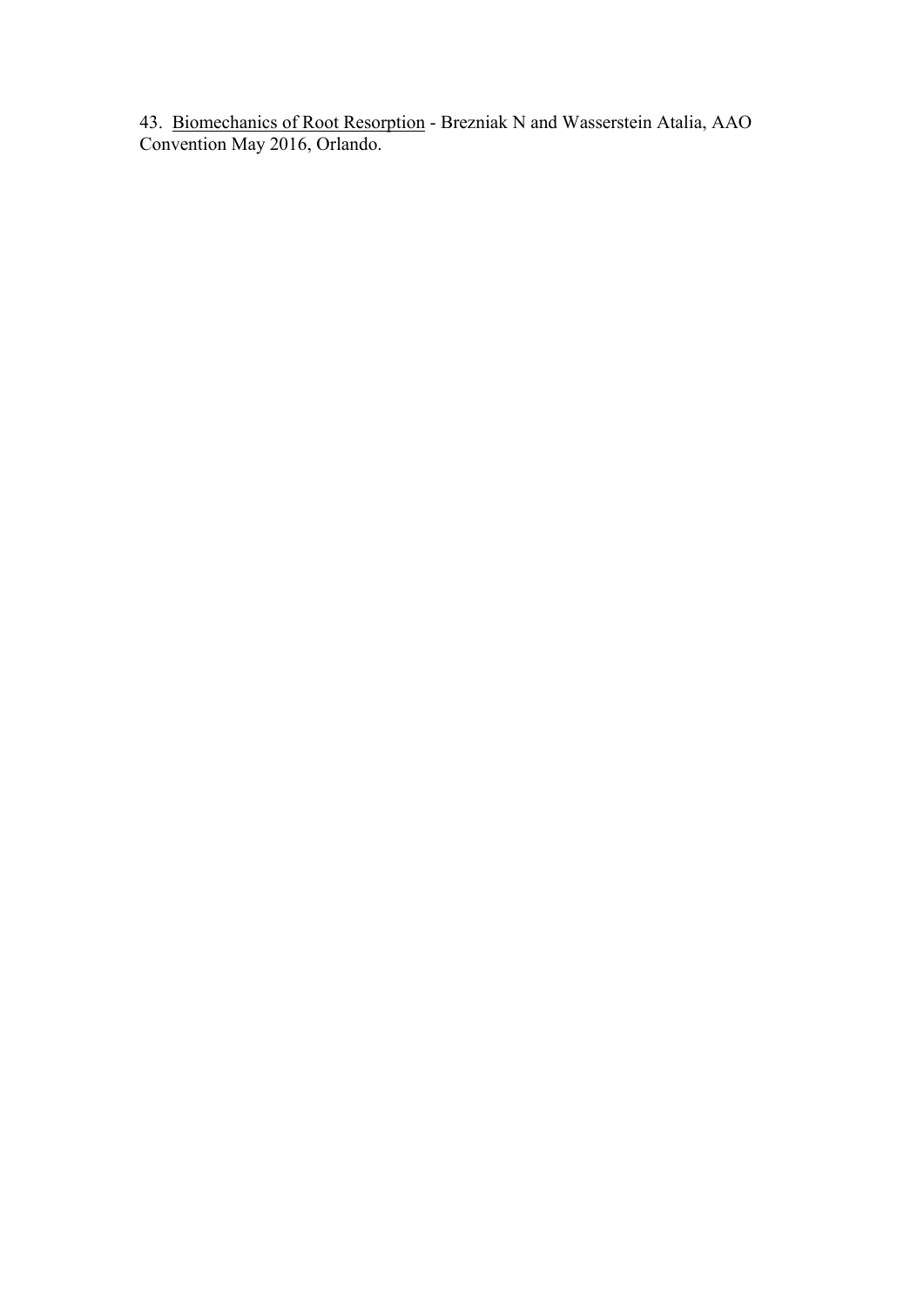43. Biomechanics of Root Resorption - Brezniak N and Wasserstein Atalia, AAO Convention May 2016, Orlando.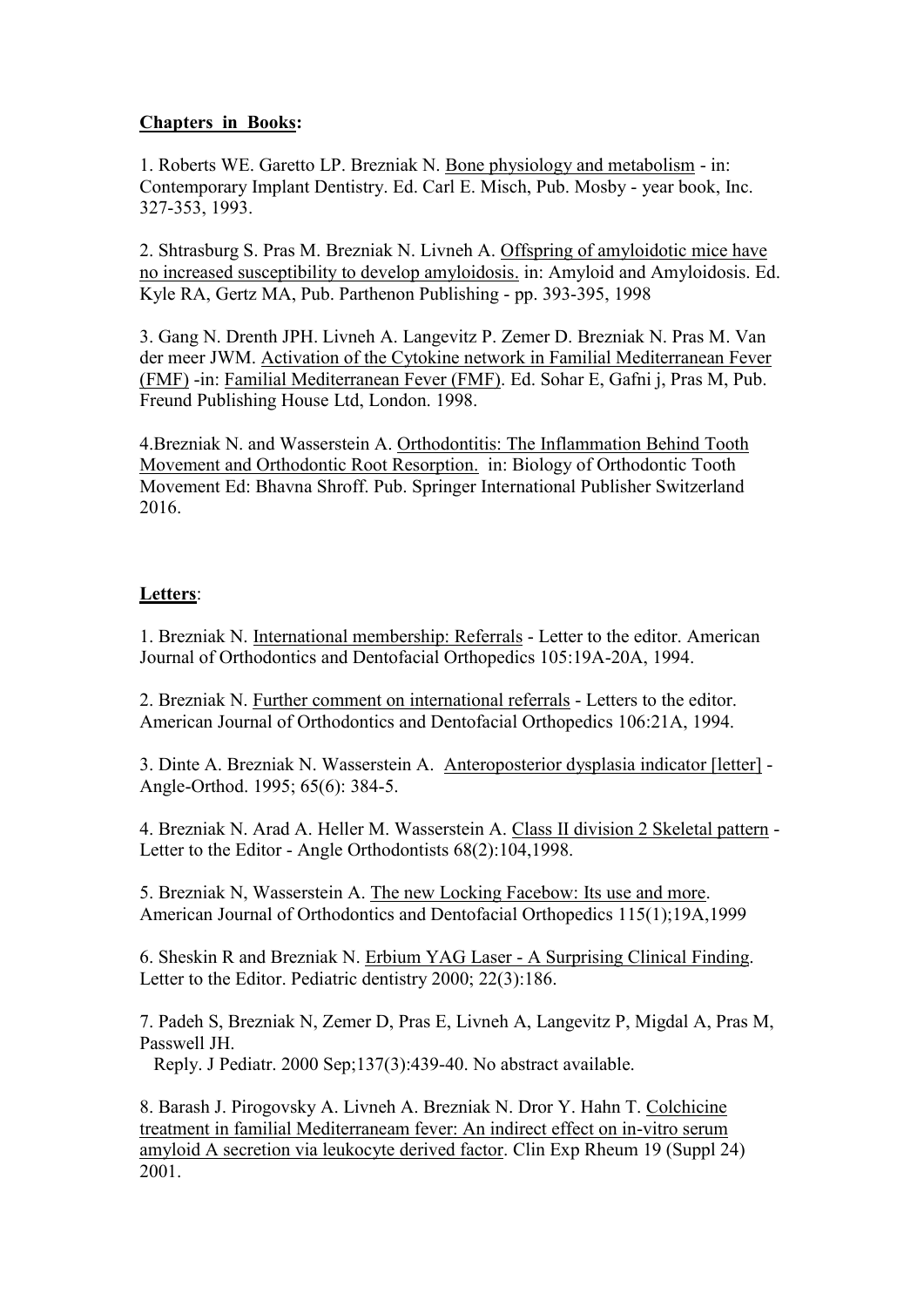# **Chapters in Books:**

1. Roberts WE. Garetto LP. Brezniak N. Bone physiology and metabolism - in: Contemporary Implant Dentistry. Ed. Carl E. Misch, Pub. Mosby - year book, Inc. 327-353, 1993.

2. Shtrasburg S. Pras M. Brezniak N. Livneh A. Offspring of amyloidotic mice have no increased susceptibility to develop amyloidosis. in: Amyloid and Amyloidosis. Ed. Kyle RA, Gertz MA, Pub. Parthenon Publishing - pp. 393-395, 1998

3. Gang N. Drenth JPH. Livneh A. Langevitz P. Zemer D. Brezniak N. Pras M. Van der meer JWM. Activation of the Cytokine network in Familial Mediterranean Fever (FMF) -in: Familial Mediterranean Fever (FMF). Ed. Sohar E, Gafni j, Pras M, Pub. Freund Publishing House Ltd, London. 1998.

4.Brezniak N. and Wasserstein A. Orthodontitis: The Inflammation Behind Tooth Movement and Orthodontic Root Resorption. in: Biology of Orthodontic Tooth Movement Ed: Bhavna Shroff. Pub. Springer International Publisher Switzerland 2016.

# **Letters**:

1. Brezniak N. International membership: Referrals - Letter to the editor. American Journal of Orthodontics and Dentofacial Orthopedics 105:19A-20A, 1994.

2. Brezniak N. Further comment on international referrals - Letters to the editor. American Journal of Orthodontics and Dentofacial Orthopedics 106:21A, 1994.

3. Dinte A. Brezniak N. Wasserstein A. Anteroposterior dysplasia indicator [letter] - Angle-Orthod. 1995; 65(6): 384-5.

4. Brezniak N. Arad A. Heller M. Wasserstein A. Class II division 2 Skeletal pattern - Letter to the Editor - Angle Orthodontists 68(2):104,1998.

5. Brezniak N, Wasserstein A. The new Locking Facebow: Its use and more. American Journal of Orthodontics and Dentofacial Orthopedics 115(1);19A,1999

6. Sheskin R and Brezniak N. Erbium YAG Laser - A Surprising Clinical Finding. Letter to the Editor. Pediatric dentistry 2000; 22(3):186.

7. Padeh S, Brezniak N, Zemer D, Pras E, Livneh A, Langevitz P, Migdal A, Pras M, Passwell JH.

Reply. J Pediatr. 2000 Sep;137(3):439-40. No abstract available.

8. Barash J. Pirogovsky A. Livneh A. Brezniak N. Dror Y. Hahn T. Colchicine treatment in familial Mediterraneam fever: An indirect effect on in-vitro serum amyloid A secretion via leukocyte derived factor. Clin Exp Rheum 19 (Suppl 24) 2001.